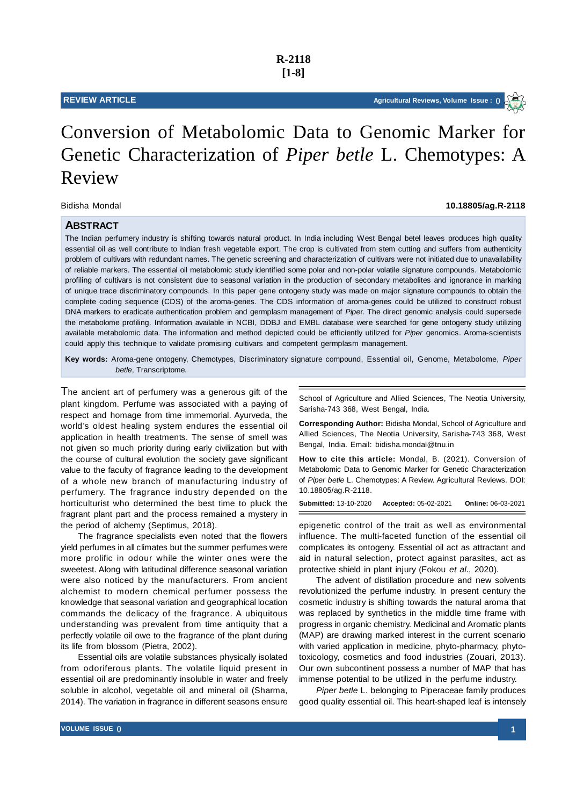# Bidisha Mondal **10.18805/ag.R-2118**

## **ABSTRACT**

The Indian perfumery industry is shifting towards natural product. In India including West Bengal betel leaves produces high quality essential oil as well contribute to Indian fresh vegetable export. The crop is cultivated from stem cutting and suffers from authenticity problem of cultivars with redundant names. The genetic screening and characterization of cultivars were not initiated due to unavailability of reliable markers. The essential oil metabolomic study identified some polar and non-polar volatile signature compounds. Metabolomic profiling of cultivars is not consistent due to seasonal variation in the production of secondary metabolites and ignorance in marking of unique trace discriminatory compounds. In this paper gene ontogeny study was made on major signature compounds to obtain the complete coding sequence (CDS) of the aroma-genes. The CDS information of aroma-genes could be utilized to construct robust DNA markers to eradicate authentication problem and germplasm management of *Pipe*r. The direct genomic analysis could supersede the metabolome profiling. Information available in NCBI, DDBJ and EMBL database were searched for gene ontogeny study utilizing available metabolomic data. The information and method depicted could be efficiently utilized for *Piper* genomics. Aroma-scientists could apply this technique to validate promising cultivars and competent germplasm management.

**Key words:** Aroma-gene ontogeny, Chemotypes, Discriminatory signature compound, Essential oil, Genome, Metabolome, *Piper betle*, Transcriptome.

The ancient art of perfumery was a generous gift of the plant kingdom. Perfume was associated with a paying of respect and homage from time immemorial. Ayurveda, the world's oldest healing system endures the essential oil application in health treatments. The sense of smell was not given so much priority during early civilization but with the course of cultural evolution the society gave significant value to the faculty of fragrance leading to the development of a whole new branch of manufacturing industry of perfumery. The fragrance industry depended on the horticulturist who determined the best time to pluck the fragrant plant part and the process remained a mystery in the period of alchemy (Septimus, 2018).

The fragrance specialists even noted that the flowers yield perfumes in all climates but the summer perfumes were more prolific in odour while the winter ones were the sweetest. Along with latitudinal difference seasonal variation were also noticed by the manufacturers. From ancient alchemist to modern chemical perfumer possess the knowledge that seasonal variation and geographical location commands the delicacy of the fragrance. A ubiquitous understanding was prevalent from time antiquity that a perfectly volatile oil owe to the fragrance of the plant during its life from blossom (Pietra, 2002).

Essential oils are volatile substances physically isolated from odoriferous plants. The volatile liquid present in essential oil are predominantly insoluble in water and freely soluble in alcohol, vegetable oil and mineral oil (Sharma, 2014). The variation in fragrance in different seasons ensure School of Agriculture and Allied Sciences, The Neotia University, Sarisha-743 368, West Bengal, India.

**Corresponding Author:** Bidisha Mondal, School of Agriculture and Allied Sciences, The Neotia University, Sarisha-743 368, West Bengal, India. Email: bidisha.mondal@tnu.in

**How to cite this article:** Mondal, B. (2021). Conversion of Metabolomic Data to Genomic Marker for Genetic Characterization of *Piper betle* L. Chemotypes: A Review. Agricultural Reviews. DOI: 10.18805/ag.R-2118.

**Submitted:** 13-10-2020 **Accepted:** 05-02-2021 **Online:** 06-03-2021

epigenetic control of the trait as well as environmental influence. The multi-faceted function of the essential oil complicates its ontogeny. Essential oil act as attractant and aid in natural selection, protect against parasites, act as protective shield in plant injury (Fokou *et al*., 2020).

The advent of distillation procedure and new solvents revolutionized the perfume industry. In present century the cosmetic industry is shifting towards the natural aroma that was replaced by synthetics in the middle time frame with progress in organic chemistry. Medicinal and Aromatic plants (MAP) are drawing marked interest in the current scenario with varied application in medicine, phyto-pharmacy, phytotoxicology, cosmetics and food industries (Zouari, 2013). Our own subcontinent possess a number of MAP that has immense potential to be utilized in the perfume industry.

*Piper betle* L. belonging to Piperaceae family produces good quality essential oil. This heart-shaped leaf is intensely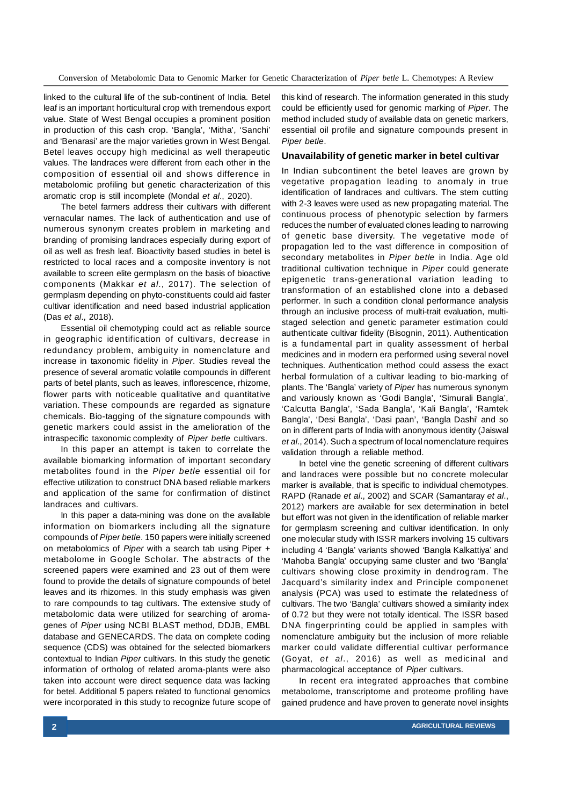linked to the cultural life of the sub-continent of India. Betel leaf is an important horticultural crop with tremendous export value. State of West Bengal occupies a prominent position in production of this cash crop. 'Bangla', 'Mitha', 'Sanchi' and 'Benarasi' are the major varieties grown in West Bengal. Betel leaves occupy high medicinal as well therapeutic values. The landraces were different from each other in the composition of essential oil and shows difference in metabolomic profiling but genetic characterization of this aromatic crop is still incomplete (Mondal *et al*., 2020).

The betel farmers address their cultivars with different vernacular names. The lack of authentication and use of numerous synonym creates problem in marketing and branding of promising landraces especially during export of oil as well as fresh leaf. Bioactivity based studies in betel is restricted to local races and a composite inventory is not available to screen elite germplasm on the basis of bioactive components (Makkar *et al*., 2017). The selection of germplasm depending on phyto-constituents could aid faster cultivar identification and need based industrial application (Das *et al*., 2018).

Essential oil chemotyping could act as reliable source in geographic identification of cultivars, decrease in redundancy problem, ambiguity in nomenclature and increase in taxonomic fidelity in *Piper*. Studies reveal the presence of several aromatic volatile compounds in different parts of betel plants, such as leaves, inflorescence, rhizome, flower parts with noticeable qualitative and quantitative variation. These compounds are regarded as signature chemicals. Bio-tagging of the signature compounds with genetic markers could assist in the amelioration of the intraspecific taxonomic complexity of *Piper betle* cultivars.

In this paper an attempt is taken to correlate the available biomarking information of important secondary metabolites found in the *Piper betle* essential oil for effective utilization to construct DNA based reliable markers and application of the same for confirmation of distinct landraces and cultivars.

In this paper a data-mining was done on the available information on biomarkers including all the signature compounds of *Piper betle*. 150 papers were initially screened on metabolomics of *Piper* with a search tab using Piper + metabolome in Google Scholar. The abstracts of the screened papers were examined and 23 out of them were found to provide the details of signature compounds of betel leaves and its rhizomes. In this study emphasis was given to rare compounds to tag cultivars. The extensive study of metabolomic data were utilized for searching of aromagenes of *Piper* using NCBI BLAST method, DDJB, EMBL database and GENECARDS. The data on complete coding sequence (CDS) was obtained for the selected biomarkers contextual to Indian *Piper* cultivars. In this study the genetic information of ortholog of related aroma-plants were also taken into account were direct sequence data was lacking for betel. Additional 5 papers related to functional genomics were incorporated in this study to recognize future scope of this kind of research. The information generated in this study could be efficiently used for genomic marking of *Piper*. The method included study of available data on genetic markers, essential oil profile and signature compounds present in *Piper betle*.

#### **Unavailability of genetic marker in betel cultivar**

In Indian subcontinent the betel leaves are grown by vegetative propagation leading to anomaly in true identification of landraces and cultivars. The stem cutting with 2-3 leaves were used as new propagating material. The continuous process of phenotypic selection by farmers reduces the number of evaluated clones leading to narrowing of genetic base diversity. The vegetative mode of propagation led to the vast difference in composition of secondary metabolites in *Piper betle* in India. Age old traditional cultivation technique in *Piper* could generate epigenetic trans-generational variation leading to transformation of an established clone into a debased performer. In such a condition clonal performance analysis through an inclusive process of multi-trait evaluation, multistaged selection and genetic parameter estimation could authenticate cultivar fidelity (Bisognin, 2011). Authentication is a fundamental part in quality assessment of herbal medicines and in modern era performed using several novel techniques. Authentication method could assess the exact herbal formulation of a cultivar leading to bio-marking of plants. The 'Bangla' variety of *Piper* has numerous synonym and variously known as 'Godi Bangla', 'Simurali Bangla', 'Calcutta Bangla', 'Sada Bangla', 'Kali Bangla', 'Ramtek Bangla', 'Desi Bangla', 'Dasi paan', 'Bangla Dashi' and so on in different parts of India with anonymous identity (Jaiswal *et al*., 2014). Such a spectrum of local nomenclature requires validation through a reliable method.

In betel vine the genetic screening of different cultivars and landraces were possible but no concrete molecular marker is available, that is specific to individual chemotypes. RAPD (Ranade *et al*., 2002) and SCAR (Samantaray *et al*., 2012) markers are available for sex determination in betel but effort was not given in the identification of reliable marker for germplasm screening and cultivar identification. In only one molecular study with ISSR markers involving 15 cultivars including 4 'Bangla' variants showed 'Bangla Kalkattiya' and 'Mahoba Bangla' occupying same cluster and two 'Bangla' cultivars showing close proximity in dendrogram. The Jacquard's similarity index and Principle componenet analysis (PCA) was used to estimate the relatedness of cultivars. The two 'Bangla' cultivars showed a similarity index of 0.72 but they were not totally identical. The ISSR based DNA fingerprinting could be applied in samples with nomenclature ambiguity but the inclusion of more reliable marker could validate differential cultivar performance (Goyat, *et al*., 2016) as well as medicinal and pharmacological acceptance of *Piper* cultivars.

In recent era integrated approaches that combine metabolome, transcriptome and proteome profiling have gained prudence and have proven to generate novel insights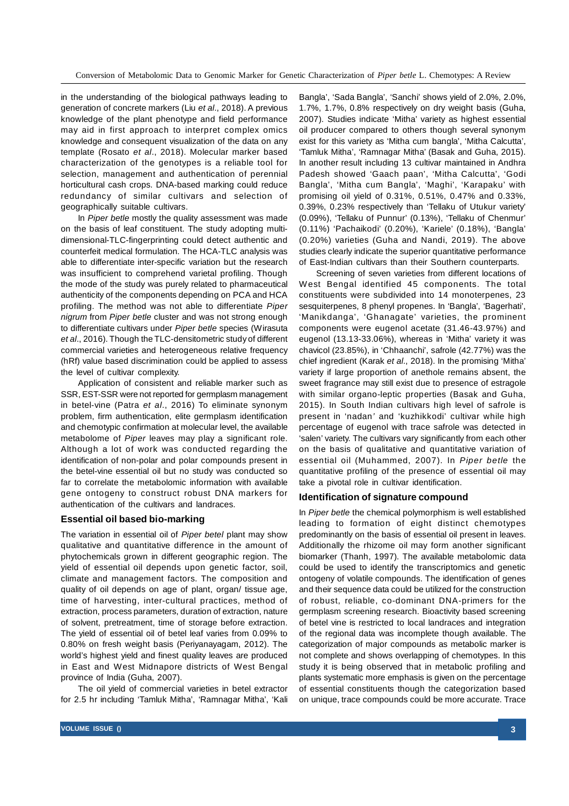in the understanding of the biological pathways leading to generation of concrete markers (Liu *et al*., 2018). A previous knowledge of the plant phenotype and field performance may aid in first approach to interpret complex omics knowledge and consequent visualization of the data on any template (Rosato *et al*., 2018). Molecular marker based characterization of the genotypes is a reliable tool for selection, management and authentication of perennial horticultural cash crops. DNA-based marking could reduce redundancy of similar cultivars and selection of geographically suitable cultivars.

In *Piper betle* mostly the quality assessment was made on the basis of leaf constituent. The study adopting multidimensional-TLC-fingerprinting could detect authentic and counterfeit medical formulation. The HCA-TLC analysis was able to differentiate inter-specific variation but the research was insufficient to comprehend varietal profiling. Though the mode of the study was purely related to pharmaceutical authenticity of the components depending on PCA and HCA profiling. The method was not able to differentiate *Piper nigrum* from *Piper betle* cluster and was not strong enough to differentiate cultivars under *Piper betle* species (Wirasuta *et al*., 2016). Though the TLC-densitometric study of different commercial varieties and heterogeneous relative frequency (hRf) value based discrimination could be applied to assess the level of cultivar complexity.

Application of consistent and reliable marker such as SSR, EST-SSR were not reported for germplasm management in betel-vine (Patra *et al*., 2016) To eliminate synonym problem, firm authentication, elite germplasm identification and chemotypic confirmation at molecular level, the available metabolome of *Piper* leaves may play a significant role. Although a lot of work was conducted regarding the identification of non-polar and polar compounds present in the betel-vine essential oil but no study was conducted so far to correlate the metabolomic information with available gene ontogeny to construct robust DNA markers for authentication of the cultivars and landraces.

#### **Essential oil based bio-marking**

The variation in essential oil of *Piper betel* plant may show qualitative and quantitative difference in the amount of phytochemicals grown in different geographic region. The yield of essential oil depends upon genetic factor, soil, climate and management factors. The composition and quality of oil depends on age of plant, organ/ tissue age, time of harvesting, inter-cultural practices, method of extraction, process parameters, duration of extraction, nature of solvent, pretreatment, time of storage before extraction. The yield of essential oil of betel leaf varies from 0.09% to 0.80% on fresh weight basis (Periyanayagam, 2012). The world's highest yield and finest quality leaves are produced in East and West Midnapore districts of West Bengal province of India (Guha, 2007).

The oil yield of commercial varieties in betel extractor for 2.5 hr including 'Tamluk Mitha', 'Ramnagar Mitha', 'Kali Bangla', 'Sada Bangla', 'Sanchi' shows yield of 2.0%, 2.0%, 1.7%, 1.7%, 0.8% respectively on dry weight basis (Guha, 2007). Studies indicate 'Mitha' variety as highest essential oil producer compared to others though several synonym exist for this variety as 'Mitha cum bangla', 'Mitha Calcutta', 'Tamluk Mitha', 'Ramnagar Mitha' (Basak and Guha, 2015). In another result including 13 cultivar maintained in Andhra Padesh showed 'Gaach paan', 'Mitha Calcutta', 'Godi Bangla', 'Mitha cum Bangla', 'Maghi', 'Karapaku' with promising oil yield of 0.31%, 0.51%, 0.47% and 0.33%, 0.39%, 0.23% respectively than 'Tellaku of Utukur variety' (0.09%), 'Tellaku of Punnur' (0.13%), 'Tellaku of Chenmur' (0.11%) 'Pachaikodi' (0.20%), 'Kariele' (0.18%), 'Bangla' (0.20%) varieties (Guha and Nandi, 2019). The above studies clearly indicate the superior quantitative performance of East-Indian cultivars than their Southern counterparts.

Screening of seven varieties from different locations of West Bengal identified 45 components. The total constituents were subdivided into 14 monoterpenes, 23 sesquiterpenes, 8 phenyl propenes. In 'Bangla', 'Bagerhati', 'Manikdanga', 'Ghanagate' varieties, the prominent components were eugenol acetate (31.46-43.97%) and eugenol (13.13-33.06%), whereas in 'Mitha' variety it was chavicol (23.85%), in 'Chhaanchi', safrole (42.77%) was the chief ingredient (Karak *et al*., 2018). In the promising 'Mitha' variety if large proportion of anethole remains absent, the sweet fragrance may still exist due to presence of estragole with similar organo-leptic properties (Basak and Guha, 2015). In South Indian cultivars high level of safrole is present in 'nadan*'* and 'kuzhikkodi' cultivar while high percentage of eugenol with trace safrole was detected in 'salen' variety. The cultivars vary significantly from each other on the basis of qualitative and quantitative variation of essential oil (Muhammed, 2007). In *Piper betle* the quantitative profiling of the presence of essential oil may take a pivotal role in cultivar identification.

# **Identification of signature compound**

In *Piper betle* the chemical polymorphism is well established leading to formation of eight distinct chemotypes predominantly on the basis of essential oil present in leaves. Additionally the rhizome oil may form another significant biomarker (Thanh, 1997). The available metabolomic data could be used to identify the transcriptomics and genetic ontogeny of volatile compounds. The identification of genes and their sequence data could be utilized for the construction of robust, reliable, co-dominant DNA-primers for the germplasm screening research. Bioactivity based screening of betel vine is restricted to local landraces and integration of the regional data was incomplete though available. The categorization of major compounds as metabolic marker is not complete and shows overlapping of chemotypes. In this study it is being observed that in metabolic profiling and plants systematic more emphasis is given on the percentage of essential constituents though the categorization based on unique, trace compounds could be more accurate. Trace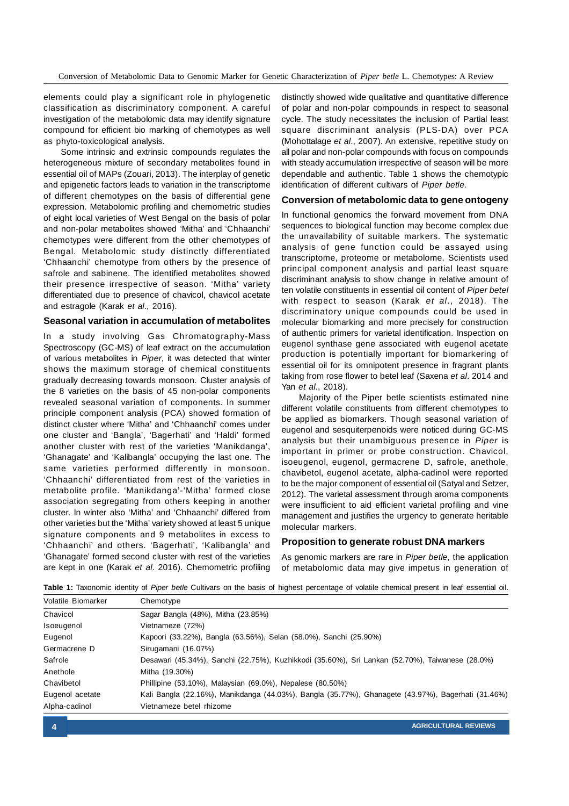elements could play a significant role in phylogenetic classification as discriminatory component. A careful investigation of the metabolomic data may identify signature compound for efficient bio marking of chemotypes as well as phyto-toxicological analysis.

Some intrinsic and extrinsic compounds regulates the heterogeneous mixture of secondary metabolites found in essential oil of MAPs (Zouari, 2013). The interplay of genetic and epigenetic factors leads to variation in the transcriptome of different chemotypes on the basis of differential gene expression. Metabolomic profiling and chemometric studies of eight local varieties of West Bengal on the basis of polar and non-polar metabolites showed 'Mitha' and 'Chhaanchi' chemotypes were different from the other chemotypes of Bengal. Metabolomic study distinctly differentiated 'Chhaanchi' chemotype from others by the presence of safrole and sabinene. The identified metabolites showed their presence irrespective of season. 'Mitha' variety differentiated due to presence of chavicol, chavicol acetate and estragole (Karak *et al*., 2016).

#### **Seasonal variation in accumulation of metabolites**

In a study involving Gas Chromatography-Mass Spectroscopy (GC-MS) of leaf extract on the accumulation of various metabolites in *Piper*, it was detected that winter shows the maximum storage of chemical constituents gradually decreasing towards monsoon. Cluster analysis of the 8 varieties on the basis of 45 non-polar components revealed seasonal variation of components. In summer principle component analysis (PCA) showed formation of distinct cluster where 'Mitha' and 'Chhaanchi' comes under one cluster and 'Bangla', 'Bagerhati' and 'Haldi' formed another cluster with rest of the varieties 'Manikdanga', 'Ghanagate' and 'Kalibangla' occupying the last one. The same varieties performed differently in monsoon. 'Chhaanchi' differentiated from rest of the varieties in metabolite profile. 'Manikdanga'-'Mitha' formed close association segregating from others keeping in another cluster. In winter also 'Mitha' and 'Chhaanchi' differed from other varieties but the 'Mitha' variety showed at least 5 unique signature components and 9 metabolites in excess to 'Chhaanchi' and others. 'Bagerhati', 'Kalibangla' and 'Ghanagate' formed second cluster with rest of the varieties are kept in one (Karak *et al*. 2016). Chemometric profiling distinctly showed wide qualitative and quantitative difference of polar and non-polar compounds in respect to seasonal cycle. The study necessitates the inclusion of Partial least square discriminant analysis (PLS-DA) over PCA (Mohottalage *et al*., 2007). An extensive, repetitive study on all polar and non-polar compounds with focus on compounds with steady accumulation irrespective of season will be more dependable and authentic. Table 1 shows the chemotypic identification of different cultivars of *Piper betle.*

#### **Conversion of metabolomic data to gene ontogeny**

In functional genomics the forward movement from DNA sequences to biological function may become complex due the unavailability of suitable markers. The systematic analysis of gene function could be assayed using transcriptome, proteome or metabolome. Scientists used principal component analysis and partial least square discriminant analysis to show change in relative amount of ten volatile constituents in essential oil content of *Piper betel* with respect to season (Karak *et al*., 2018). The discriminatory unique compounds could be used in molecular biomarking and more precisely for construction of authentic primers for varietal identification. Inspection on eugenol synthase gene associated with eugenol acetate production is potentially important for biomarkering of essential oil for its omnipotent presence in fragrant plants taking from rose flower to betel leaf (Saxena *et al*. 2014 and Yan *et al*., 2018).

Majority of the Piper betle scientists estimated nine different volatile constituents from different chemotypes to be applied as biomarkers. Though seasonal variation of eugenol and sesquiterpenoids were noticed during GC-MS analysis but their unambiguous presence in *Piper* is important in primer or probe construction. Chavicol, isoeugenol, eugenol, germacrene D, safrole, anethole, chavibetol, eugenol acetate, alpha-cadinol were reported to be the major component of essential oil (Satyal and Setzer, 2012). The varietal assessment through aroma components were insufficient to aid efficient varietal profiling and vine management and justifies the urgency to generate heritable molecular markers.

### **Proposition to generate robust DNA markers**

As genomic markers are rare in *Piper betle,* the application of metabolomic data may give impetus in generation of

| Volatile Biomarker | Chemotype                                                                                          |
|--------------------|----------------------------------------------------------------------------------------------------|
| Chavicol           | Sagar Bangla (48%), Mitha (23.85%)                                                                 |
| Isoeugenol         | Vietnameze (72%)                                                                                   |
| Eugenol            | Kapoori (33.22%), Bangla (63.56%), Selan (58.0%), Sanchi (25.90%)                                  |
| Germacrene D       | Sirugamani (16.07%)                                                                                |
| Safrole            | Desawari (45.34%), Sanchi (22.75%), Kuzhikkodi (35.60%), Sri Lankan (52.70%), Taiwanese (28.0%)    |
| Anethole           | Mitha (19.30%)                                                                                     |
| Chavibetol         | Phillipine (53.10%), Malaysian (69.0%), Nepalese (80.50%)                                          |
| Eugenol acetate    | Kali Bangla (22.16%), Manikdanga (44.03%), Bangla (35.77%), Ghanagete (43.97%), Bagerhati (31.46%) |
| Alpha-cadinol      | Vietnameze betel rhizome                                                                           |

**Table 1:** Taxonomic identity of *Piper betle* Cultivars on the basis of highest percentage of volatile chemical present in leaf essential oil.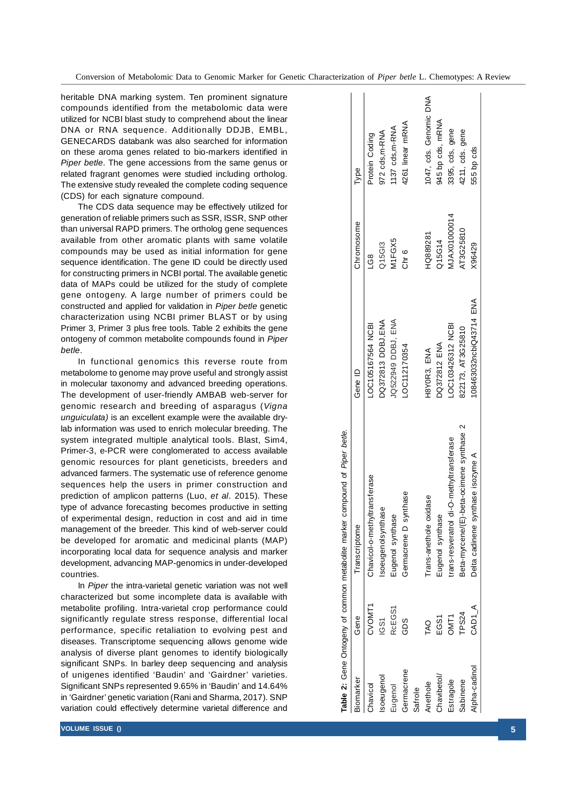heritable DNA marking system. Ten prominent signature compounds identified from the metabolomic data were utilized for NCBI blast study to comprehend about the linear DNA or RNA sequence. Additionally DDJB, EMBL, GENECARDS databank was also searched for information on these aroma genes related to bio-markers identified in *Piper betle*. The gene accessions from the same genus or related fragrant genomes were studied including ortholog. The extensive study revealed the complete coding sequence (CDS) for each signature compound.

The CDS data sequence may be effectively utilized for generation of reliable primers such as SSR, ISSR, SNP other than universal RAPD primers. The ortholog gene sequences available from other aromatic plants with same volatile compounds may be used as initial information for gene sequence identification. The gene ID could be directly used for constructing primers in NCBI portal. The available genetic data of MAPs could be utilized for the study of complete gene ontogeny. A large number of primers could be constructed and applied for validation in *Piper betle* genetic characterization using NCBI primer BLAST or by using Primer 3, Primer 3 plus free tools. Table 2 exhibits the gene ontogeny of common metabolite compounds found in *Piper betle*.

In functional genomics this reverse route from metabolome to genome may prove useful and strongly assist in molecular taxonomy and advanced breeding operations. The development of user-friendly AMBAB web-server for genomic research and breeding of asparagus (*Vigna unguiculata)* is an excellent example were the available drylab information was used to enrich molecular breeding. The system integrated multiple analytical tools. Blast, Sim4, Primer-3, e-PCR were conglomerated to access available genomic resources for plant geneticists, breeders and advanced farmers. The systematic use of reference genome sequences help the users in primer construction and prediction of amplicon patterns (Luo, *et al*. 2015). These type of advance forecasting becomes productive in setting of experimental design, reduction in cost and aid in time management of the breeder. This kind of web-server could be developed for aromatic and medicinal plants (MAP) incorporating local data for sequence analysis and marker development, advancing MAP-genomics in under-developed countries.

In *Piper* the intra-varietal genetic variation was not well characterized but some incomplete data is available with metabolite profiling. Intra-varietal crop performance could significantly regulate stress response, differential local performance, specific retaliation to evolving pest and diseases. Transcriptome sequencing allows genome wide analysis of diverse plant genomes to identify biologically significant SNPs. In barley deep sequencing and analysis of unigenes identified 'Baudin' and 'Gairdner' varieties. Significant SNPs represented 9.65% in 'Baudin' and 14.64% in 'Gairdner' genetic variation (Rani and Sharma, 2017). SNP variation could effectively determine varietal difference and

|               |              | compound of Piper betle.<br>Table 2: Gene Ontogeny of common metabolite marker |                         |                    |                        |
|---------------|--------------|--------------------------------------------------------------------------------|-------------------------|--------------------|------------------------|
| Biomarker     | Gene         | Transcriptome                                                                  | Gene ID                 | Chromosome         | Type                   |
| Chavicol      | CVOMT1       | Chavicol-o-methyltransferase                                                   | LOC105167564 NCBI       | ပ<br>၁<br>၂        | Protein Coding         |
| soeugeno!     | <u>င်</u> ဘ  | Isoeugenolsynthase                                                             | DQ372813 DDBJ,ENA       | Q15G13             | 972 cds, m-RNA         |
| Eugenol       | RcEGS1       | Eugenol synthase                                                               | JQ522949 DDBJ, ENA      | M <sub>1FGX5</sub> | 1137 cds, m-RNA        |
| Germacrene    | GDS          | Germacrene D synthase                                                          | LOC112170354            | Chr 6              | 4261 linear mRNA       |
| Safrole       |              |                                                                                |                         |                    |                        |
| Anethole      | <b>TAO</b>   | Trans-anethole oxidase                                                         | H8YOR3, ENA             | HQ889281           | 1047, cds. Genomic DNA |
| Chavibetol    | EGS1         | Eugenol synthase                                                               | DQ372812 ENA            | Q15G14             | 945 bp cds, mRNA       |
| Estragole     | DMT1         | di-O-methyltransferase<br>trans-resveratrol                                    | LOC103426312 NCBI       | AJAX01000014       | 3395, cds, gene        |
| Sabinene      | <b>TPS24</b> | Beta-myrcene/(E)-beta-ocimene synthase 2                                       | 822173, AT3G25810       | AT3G25810          | 4211, cds. gene        |
| Alpha-cadinol | CAD1_A       | Delta cadinene synthase isozyme A                                              | 108463032ncbiQ43714 ENA | X96429             | 555 bp cds             |
|               |              |                                                                                |                         |                    |                        |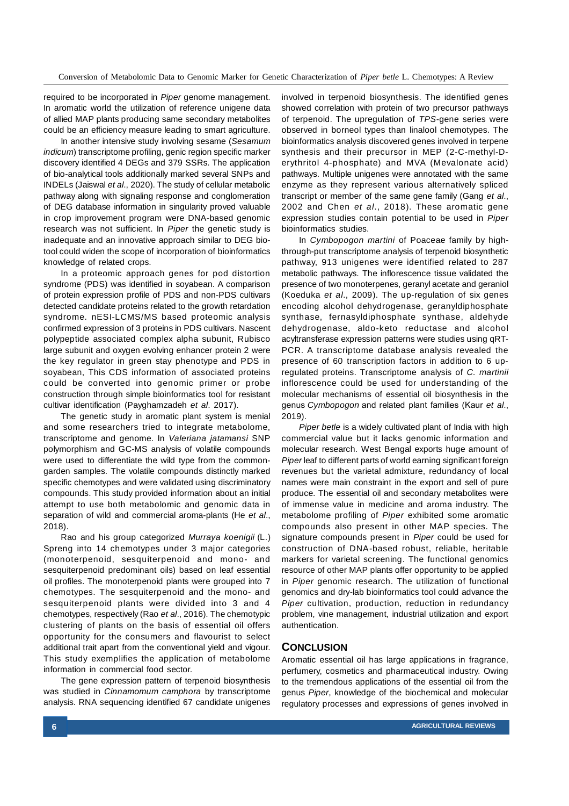required to be incorporated in *Piper* genome management. In aromatic world the utilization of reference unigene data of allied MAP plants producing same secondary metabolites could be an efficiency measure leading to smart agriculture.

In another intensive study involving sesame (*Sesamum indicum*) transcriptome profiling, genic region specific marker discovery identified 4 DEGs and 379 SSRs. The application of bio-analytical tools additionally marked several SNPs and INDELs (Jaiswal *et al*., 2020). The study of cellular metabolic pathway along with signaling response and conglomeration of DEG database information in singularity proved valuable in crop improvement program were DNA-based genomic research was not sufficient. In *Piper* the genetic study is inadequate and an innovative approach similar to DEG biotool could widen the scope of incorporation of bioinformatics knowledge of related crops.

In a proteomic approach genes for pod distortion syndrome (PDS) was identified in soyabean. A comparison of protein expression profile of PDS and non-PDS cultivars detected candidate proteins related to the growth retardation syndrome. nESI-LCMS/MS based proteomic analysis confirmed expression of 3 proteins in PDS cultivars. Nascent polypeptide associated complex alpha subunit, Rubisco large subunit and oxygen evolving enhancer protein 2 were the key regulator in green stay phenotype and PDS in soyabean, This CDS information of associated proteins could be converted into genomic primer or probe construction through simple bioinformatics tool for resistant cultivar identification (Payghamzadeh *et al*. 2017).

The genetic study in aromatic plant system is menial and some researchers tried to integrate metabolome, transcriptome and genome. In *Valeriana jatamansi* SNP polymorphism and GC-MS analysis of volatile compounds were used to differentiate the wild type from the commongarden samples. The volatile compounds distinctly marked specific chemotypes and were validated using discriminatory compounds. This study provided information about an initial attempt to use both metabolomic and genomic data in separation of wild and commercial aroma-plants (He *et al*., 2018).

Rao and his group categorized *Murraya koenigii* (L.) Spreng into 14 chemotypes under 3 major categories (monoterpenoid, sesquiterpenoid and mono- and sesquiterpenoid predominant oils) based on leaf essential oil profiles. The monoterpenoid plants were grouped into 7 chemotypes. The sesquiterpenoid and the mono- and sesquiterpenoid plants were divided into 3 and 4 chemotypes, respectively (Rao *et al*., 2016). The chemotypic clustering of plants on the basis of essential oil offers opportunity for the consumers and flavourist to select additional trait apart from the conventional yield and vigour. This study exemplifies the application of metabolome information in commercial food sector.

The gene expression pattern of terpenoid biosynthesis was studied in *Cinnamomum camphora* by transcriptome analysis. RNA sequencing identified 67 candidate unigenes involved in terpenoid biosynthesis. The identified genes showed correlation with protein of two precursor pathways of terpenoid. The upregulation of *TPS-*gene series were observed in borneol types than linalool chemotypes. The bioinformatics analysis discovered genes involved in terpene synthesis and their precursor in MEP (2-C-methyl-Derythritol 4-phosphate) and MVA (Mevalonate acid) pathways. Multiple unigenes were annotated with the same enzyme as they represent various alternatively spliced transcript or member of the same gene family (Gang *et al*., 2002 and Chen *et al*., 2018). These aromatic gene expression studies contain potential to be used in *Piper* bioinformatics studies.

In *Cymbopogon martini* of Poaceae family by highthrough-put transcriptome analysis of terpenoid biosynthetic pathway, 913 unigenes were identified related to 287 metabolic pathways. The inflorescence tissue validated the presence of two monoterpenes, geranyl acetate and geraniol (Koeduka *et al*., 2009). The up-regulation of six genes encoding alcohol dehydrogenase, geranyldiphosphate synthase, fernasyldiphosphate synthase, aldehyde dehydrogenase, aldo-keto reductase and alcohol acyltransferase expression patterns were studies using qRT-PCR. A transcriptome database analysis revealed the presence of 60 transcription factors in addition to 6 upregulated proteins. Transcriptome analysis of *C. martinii* inflorescence could be used for understanding of the molecular mechanisms of essential oil biosynthesis in the genus *Cymbopogon* and related plant families (Kaur *et al*., 2019).

*Piper betle* is a widely cultivated plant of India with high commercial value but it lacks genomic information and molecular research. West Bengal exports huge amount of *Piper* leaf to different parts of world earning significant foreign revenues but the varietal admixture, redundancy of local names were main constraint in the export and sell of pure produce. The essential oil and secondary metabolites were of immense value in medicine and aroma industry. The metabolome profiling of *Piper* exhibited some aromatic compounds also present in other MAP species. The signature compounds present in *Piper* could be used for construction of DNA-based robust, reliable, heritable markers for varietal screening. The functional genomics resource of other MAP plants offer opportunity to be applied in *Piper* genomic research. The utilization of functional genomics and dry-lab bioinformatics tool could advance the *Piper* cultivation, production, reduction in redundancy problem, vine management, industrial utilization and export authentication.

#### **CONCLUSION**

Aromatic essential oil has large applications in fragrance, perfumery, cosmetics and pharmaceutical industry. Owing to the tremendous applications of the essential oil from the genus *Piper*, knowledge of the biochemical and molecular regulatory processes and expressions of genes involved in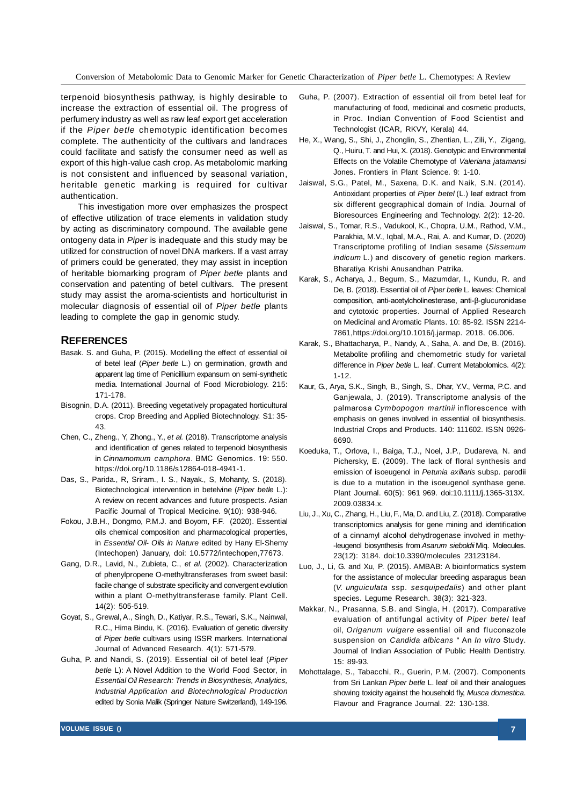terpenoid biosynthesis pathway, is highly desirable to increase the extraction of essential oil. The progress of perfumery industry as well as raw leaf export get acceleration if the *Piper betle* chemotypic identification becomes complete. The authenticity of the cultivars and landraces could facilitate and satisfy the consumer need as well as export of this high-value cash crop. As metabolomic marking is not consistent and influenced by seasonal variation, heritable genetic marking is required for cultivar authentication.

This investigation more over emphasizes the prospect of effective utilization of trace elements in validation study by acting as discriminatory compound. The available gene ontogeny data in *Piper* is inadequate and this study may be utilized for construction of novel DNA markers. If a vast array of primers could be generated, they may assist in inception of heritable biomarking program of *Piper betle* plants and conservation and patenting of betel cultivars. The present study may assist the aroma-scientists and horticulturist in molecular diagnosis of essential oil of *Piper betle* plants leading to complete the gap in genomic study.

## **REFERENCES**

- Basak. S. and Guha, P. (2015). Modelling the effect of essential oil of betel leaf (*Piper betle* L.) on germination, growth and apparent lag time of Penicillium expansum on semi-synthetic media. International Journal of Food Microbiology. 215: 171-178.
- Bisognin, D.A. (2011). Breeding vegetatively propagated horticultural crops. Crop Breeding and Applied Biotechnology. S1: 35- 43.
- Chen, C., Zheng., Y, Zhong., Y., *et al.* (2018). Transcriptome analysis and identification of genes related to terpenoid biosynthesis in *Cinnamomum camphora*. BMC Genomics. 19: 550. https://doi.org/10.1186/s12864-018-4941-1.
- Das, S., Parida., R, Sriram., I. S., Nayak., S, Mohanty, S. (2018). Biotechnological intervention in betelvine (*Piper betle* L.): A review on recent advances and future prospects. Asian Pacific Journal of Tropical Medicine. 9(10): 938-946.
- Fokou, J.B.H., Dongmo, P.M.J. and Boyom, F.F. (2020). Essential oils chemical composition and pharmacological properties, in *Essential Oil- Oils in Nature* edited by Hany El-Shemy (Intechopen) January, doi: 10.5772/intechopen,77673.
- Gang, D.R., Lavid, N., Zubieta, C., *et al*. (2002). Characterization of phenylpropene O-methyltransferases from sweet basil: facile change of substrate specificity and convergent evolution within a plant O-methyltransferase family. Plant Cell. 14(2): 505-519.
- Goyat, S., Grewal, A., Singh, D., Katiyar, R.S., Tewari, S.K., Nainwal, R.C., Hima Bindu, K. (2016). Evaluation of genetic diversity of *Piper betle* cultivars using ISSR markers. International Journal of Advanced Research. 4(1): 571-579.
- Guha, P. and Nandi, S. (2019). Essential oil of betel leaf (*Piper betle* L): A Novel Addition to the World Food Sector, in *Essential Oil Research: Trends in Biosynthesis, Analytics, Industrial Application and Biotechnological Production* edited by Sonia Malik (Springer Nature Switzerland), 149-196.
- He, X., Wang, S., Shi, J., Zhonglin, S., Zhentian, L., Zili, Y., Zigang, Q., Huiru, T. and Hui, X. (2018). Genotypic and Environmental Effects on the Volatile Chemotype of *Valeriana jatamansi* Jones. Frontiers in Plant Science. 9: 1-10.
- Jaiswal, S.G., Patel, M., Saxena, D.K. and Naik, S.N. (2014). Antioxidant properties of *Piper betel* (L.) leaf extract from six different geographical domain of India. Journal of Bioresources Engineering and Technology. 2(2): 12-20.
- Jaiswal, S., Tomar, R.S., Vadukool, K., Chopra, U.M., Rathod, V.M., Parakhia, M.V., Iqbal, M.A., Rai, A. and Kumar, D. (2020) Transcriptome profiling of Indian sesame (*Sissemum indicum* L.) and discovery of genetic region markers. Bharatiya Krishi Anusandhan Patrika.
- Karak, S., Acharya, J., Begum, S., Mazumdar, I., Kundu, R. and De, B. (2018). Essential oil of *Piper betle* L. leaves: Chemical composition, anti-acetylcholinesterase, anti-β-glucuronidase and cytotoxic properties. Journal of Applied Research on Medicinal and Aromatic Plants. 10: 85-92. ISSN 2214- 7861,https://doi.org/10.1016/j.jarmap. 2018. 06.006.
- Karak, S., Bhattacharya, P., Nandy, A., Saha, A. and De, B. (2016). Metabolite profiling and chemometric study for varietal difference in *Piper betle* L. leaf. Current Metabolomics. 4(2): 1-12.
- Kaur, G., Arya, S.K., Singh, B., Singh, S., Dhar, Y.V., Verma, P.C. and Ganjewala, J. (2019). Transcriptome analysis of the palmarosa *Cymbopogon martinii* inflorescence with emphasis on genes involved in essential oil biosynthesis. Industrial Crops and Products. 140: 111602. ISSN 0926- 6690.
- Koeduka, T., Orlova, I., Baiga, T.J., Noel, J.P., Dudareva, N. and Pichersky, E. (2009). The lack of floral synthesis and emission of isoeugenol in *Petunia axillaris* subsp. parodii is due to a mutation in the isoeugenol synthase gene. Plant Journal. 60(5): 961 969. doi:10.1111/j.1365-313X. 2009.03834.x.
- Liu, J., Xu, C., Zhang, H., Liu, F., Ma, D. and Liu, Z. (2018). Comparative transcriptomics analysis for gene mining and identification of a cinnamyl alcohol dehydrogenase involved in methy- -leugenol biosynthesis from *Asarum sieboldii* Miq. Molecules. 23(12): 3184. doi:10.3390/molecules 23123184.
- Luo, J., Li, G. and Xu, P. (2015). AMBAB: A bioinformatics system for the assistance of molecular breeding asparagus bean (*V. unguiculata* ssp. *sesquipedalis*) and other plant species. Legume Research. 38(3): 321-323.
- Makkar, N., Prasanna, S.B. and Singla, H. (2017). Comparative evaluation of antifungal activity of *Piper betel* leaf oil, *Origanum vulgare* es sential oil and fluconazole suspension on *Candida albicans* " An *In vitro* Study. Journal of Indian Association of Public Health Dentistry*.* 15: 89-93.
- Mohottalage, S., Tabacchi, R., Guerin, P.M. (2007). Components from Sri Lankan *Piper betle* L. leaf oil and their analogues showing toxicity against the household fly, *Musca domestica*. Flavour and Fragrance Journal. 22: 130-138.